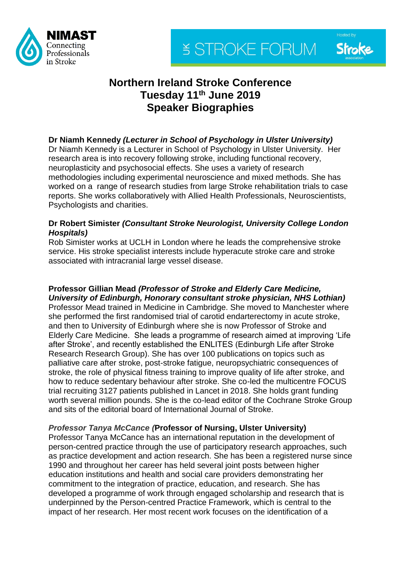



# **Northern Ireland Stroke Conference Tuesday 11 th June 2019 Speaker Biographies**

# **Dr Niamh Kennedy** *(Lecturer in School of Psychology in Ulster University)*

Dr Niamh Kennedy is a Lecturer in School of Psychology in Ulster University. Her research area is into recovery following stroke, including functional recovery, neuroplasticity and psychosocial effects. She uses a variety of research methodologies including experimental neuroscience and mixed methods. She has worked on a range of research studies from large Stroke rehabilitation trials to case reports. She works collaboratively with Allied Health Professionals, Neuroscientists, Psychologists and charities.

## **Dr Robert Simister** *(Consultant Stroke Neurologist, University College London Hospitals)*

Rob Simister works at UCLH in London where he leads the comprehensive stroke service. His stroke specialist interests include hyperacute stroke care and stroke associated with intracranial large vessel disease.

#### **Professor Gillian Mead** *(Professor of Stroke and Elderly Care Medicine, University of Edinburgh, Honorary consultant stroke physician, NHS Lothian)*

Professor Mead trained in Medicine in Cambridge. She moved to Manchester where she performed the first randomised trial of carotid endarterectomy in acute stroke, and then to University of Edinburgh where she is now Professor of Stroke and Elderly Care Medicine. She leads a programme of research aimed at improving 'Life after Stroke', and recently established the ENLITES (Edinburgh Life after Stroke Research Research Group). She has over 100 publications on topics such as palliative care after stroke, post-stroke fatigue, neuropsychiatric consequences of stroke, the role of physical fitness training to improve quality of life after stroke, and how to reduce sedentary behaviour after stroke. She co-led the multicentre FOCUS trial recruiting 3127 patients published in Lancet in 2018. She holds grant funding worth several million pounds. She is the co-lead editor of the Cochrane Stroke Group and sits of the editorial board of International Journal of Stroke.

## *Professor Tanya McCance (***Professor of Nursing, Ulster University)**

Professor Tanya McCance has an international reputation in the development of person-centred practice through the use of participatory research approaches, such as practice development and action research. She has been a registered nurse since 1990 and throughout her career has held several joint posts between higher education institutions and health and social care providers demonstrating her commitment to the integration of practice, education, and research. She has developed a programme of work through engaged scholarship and research that is underpinned by the Person-centred Practice Framework, which is central to the impact of her research. Her most recent work focuses on the identification of a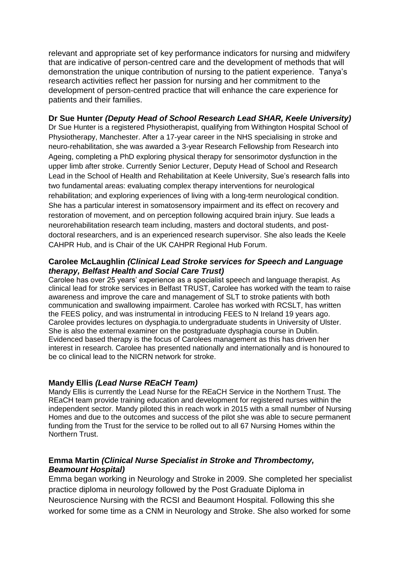relevant and appropriate set of key performance indicators for nursing and midwifery that are indicative of person-centred care and the development of methods that will demonstration the unique contribution of nursing to the patient experience. Tanya's research activities reflect her passion for nursing and her commitment to the development of person-centred practice that will enhance the care experience for patients and their families.

## **Dr Sue Hunter** *(Deputy Head of School Research Lead SHAR, Keele University)*

Dr Sue Hunter is a registered Physiotherapist, qualifying from Withington Hospital School of Physiotherapy, Manchester. After a 17-year career in the NHS specialising in stroke and neuro-rehabilitation, she was awarded a 3-year Research Fellowship from Research into Ageing, completing a PhD exploring physical therapy for sensorimotor dysfunction in the upper limb after stroke. Currently Senior Lecturer, Deputy Head of School and Research Lead in the School of Health and Rehabilitation at Keele University, Sue's research falls into two fundamental areas: evaluating complex therapy interventions for neurological rehabilitation; and exploring experiences of living with a long-term neurological condition. She has a particular interest in somatosensory impairment and its effect on recovery and restoration of movement, and on perception following acquired brain injury. Sue leads a neurorehabilitation research team including, masters and doctoral students, and postdoctoral researchers, and is an experienced research supervisor. She also leads the Keele CAHPR Hub, and is Chair of the UK CAHPR Regional Hub Forum.

#### **Carolee McLaughlin** *(Clinical Lead Stroke services for Speech and Language therapy, Belfast Health and Social Care Trust)*

Carolee has over 25 years' experience as a specialist speech and language therapist. As clinical lead for stroke services in Belfast TRUST, Carolee has worked with the team to raise awareness and improve the care and management of SLT to stroke patients with both communication and swallowing impairment. Carolee has worked with RCSLT, has written the FEES policy, and was instrumental in introducing FEES to N Ireland 19 years ago. Carolee provides lectures on dysphagia.to undergraduate students in University of Ulster. She is also the external examiner on the postgraduate dysphagia course in Dublin. Evidenced based therapy is the focus of Carolees management as this has driven her interest in research. Carolee has presented nationally and internationally and is honoured to be co clinical lead to the NICRN network for stroke.

#### **Mandy Ellis** *(Lead Nurse REaCH Team)*

Mandy Ellis is currently the Lead Nurse for the REaCH Service in the Northern Trust. The REaCH team provide training education and development for registered nurses within the independent sector. Mandy piloted this in reach work in 2015 with a small number of Nursing Homes and due to the outcomes and success of the pilot she was able to secure permanent funding from the Trust for the service to be rolled out to all 67 Nursing Homes within the Northern Trust.

### **Emma Martin** *(Clinical Nurse Specialist in Stroke and Thrombectomy, Beamount Hospital)*

Emma began working in Neurology and Stroke in 2009. She completed her specialist practice diploma in neurology followed by the Post Graduate Diploma in Neuroscience Nursing with the RCSI and Beaumont Hospital. Following this she worked for some time as a CNM in Neurology and Stroke. She also worked for some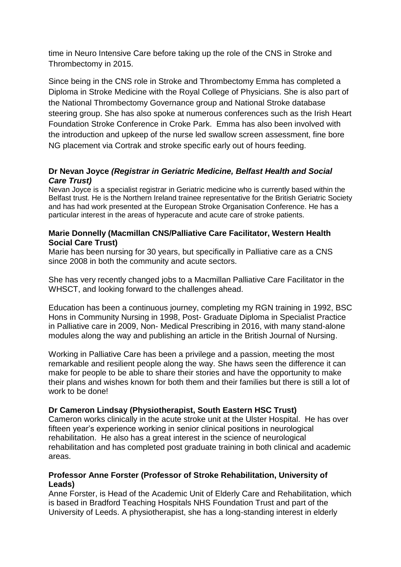time in Neuro Intensive Care before taking up the role of the CNS in Stroke and Thrombectomy in 2015.

Since being in the CNS role in Stroke and Thrombectomy Emma has completed a Diploma in Stroke Medicine with the Royal College of Physicians. She is also part of the National Thrombectomy Governance group and National Stroke database steering group. She has also spoke at numerous conferences such as the Irish Heart Foundation Stroke Conference in Croke Park. Emma has also been involved with the introduction and upkeep of the nurse led swallow screen assessment, fine bore NG placement via Cortrak and stroke specific early out of hours feeding.

## **Dr Nevan Joyce** *(Registrar in Geriatric Medicine, Belfast Health and Social Care Trust)*

Nevan Joyce is a specialist registrar in Geriatric medicine who is currently based within the Belfast trust. He is the Northern Ireland trainee representative for the British Geriatric Society and has had work presented at the European Stroke Organisation Conference. He has a particular interest in the areas of hyperacute and acute care of stroke patients.

#### **Marie Donnelly (Macmillan CNS/Palliative Care Facilitator, Western Health Social Care Trust)**

Marie has been nursing for 30 years, but specifically in Palliative care as a CNS since 2008 in both the community and acute sectors.

She has very recently changed jobs to a Macmillan Palliative Care Facilitator in the WHSCT, and looking forward to the challenges ahead.

Education has been a continuous journey, completing my RGN training in 1992, BSC Hons in Community Nursing in 1998, Post- Graduate Diploma in Specialist Practice in Palliative care in 2009, Non- Medical Prescribing in 2016, with many stand-alone modules along the way and publishing an article in the British Journal of Nursing.

Working in Palliative Care has been a privilege and a passion, meeting the most remarkable and resilient people along the way. She haws seen the difference it can make for people to be able to share their stories and have the opportunity to make their plans and wishes known for both them and their families but there is still a lot of work to be done!

### **Dr Cameron Lindsay (Physiotherapist, South Eastern HSC Trust)**

Cameron works clinically in the acute stroke unit at the Ulster Hospital. He has over fifteen year's experience working in senior clinical positions in neurological rehabilitation. He also has a great interest in the science of neurological rehabilitation and has completed post graduate training in both clinical and academic areas.

## **Professor Anne Forster (Professor of Stroke Rehabilitation, University of Leads)**

Anne Forster, is Head of the Academic Unit of Elderly Care and Rehabilitation, which is based in Bradford Teaching Hospitals NHS Foundation Trust and part of the University of Leeds. A physiotherapist, she has a long-standing interest in elderly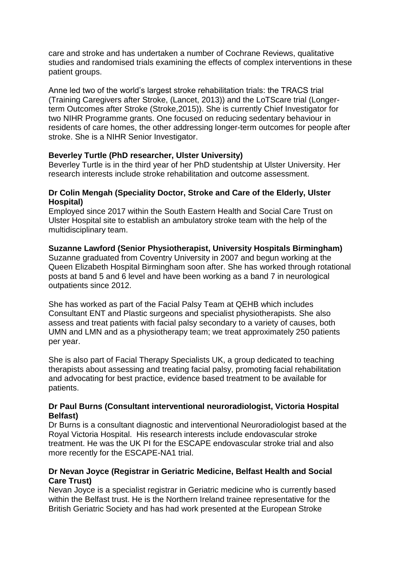care and stroke and has undertaken a number of Cochrane Reviews, qualitative studies and randomised trials examining the effects of complex interventions in these patient groups.

Anne led two of the world's largest stroke rehabilitation trials: the TRACS trial (Training Caregivers after Stroke, (Lancet, 2013)) and the LoTScare trial (Longerterm Outcomes after Stroke (Stroke,2015)). She is currently Chief Investigator for two NIHR Programme grants. One focused on reducing sedentary behaviour in residents of care homes, the other addressing longer-term outcomes for people after stroke. She is a NIHR Senior Investigator.

## **Beverley Turtle (PhD researcher, Ulster University)**

Beverley Turtle is in the third year of her PhD studentship at Ulster University. Her research interests include stroke rehabilitation and outcome assessment.

## **Dr Colin Mengah (Speciality Doctor, Stroke and Care of the Elderly, Ulster Hospital)**

Employed since 2017 within the South Eastern Health and Social Care Trust on Ulster Hospital site to establish an ambulatory stroke team with the help of the multidisciplinary team.

### **Suzanne Lawford (Senior Physiotherapist, University Hospitals Birmingham)**

Suzanne graduated from Coventry University in 2007 and begun working at the Queen Elizabeth Hospital Birmingham soon after. She has worked through rotational posts at band 5 and 6 level and have been working as a band 7 in neurological outpatients since 2012.

She has worked as part of the Facial Palsy Team at QEHB which includes Consultant ENT and Plastic surgeons and specialist physiotherapists. She also assess and treat patients with facial palsy secondary to a variety of causes, both UMN and LMN and as a physiotherapy team; we treat approximately 250 patients per year.

She is also part of Facial Therapy Specialists UK, a group dedicated to teaching therapists about assessing and treating facial palsy, promoting facial rehabilitation and advocating for best practice, evidence based treatment to be available for patients.

### **Dr Paul Burns (Consultant interventional neuroradiologist, Victoria Hospital Belfast)**

Dr Burns is a consultant diagnostic and interventional Neuroradiologist based at the Royal Victoria Hospital. His research interests include endovascular stroke treatment. He was the UK PI for the ESCAPE endovascular stroke trial and also more recently for the ESCAPE-NA1 trial.

### **Dr Nevan Joyce (Registrar in Geriatric Medicine, Belfast Health and Social Care Trust)**

Nevan Joyce is a specialist registrar in Geriatric medicine who is currently based within the Belfast trust. He is the Northern Ireland trainee representative for the British Geriatric Society and has had work presented at the European Stroke